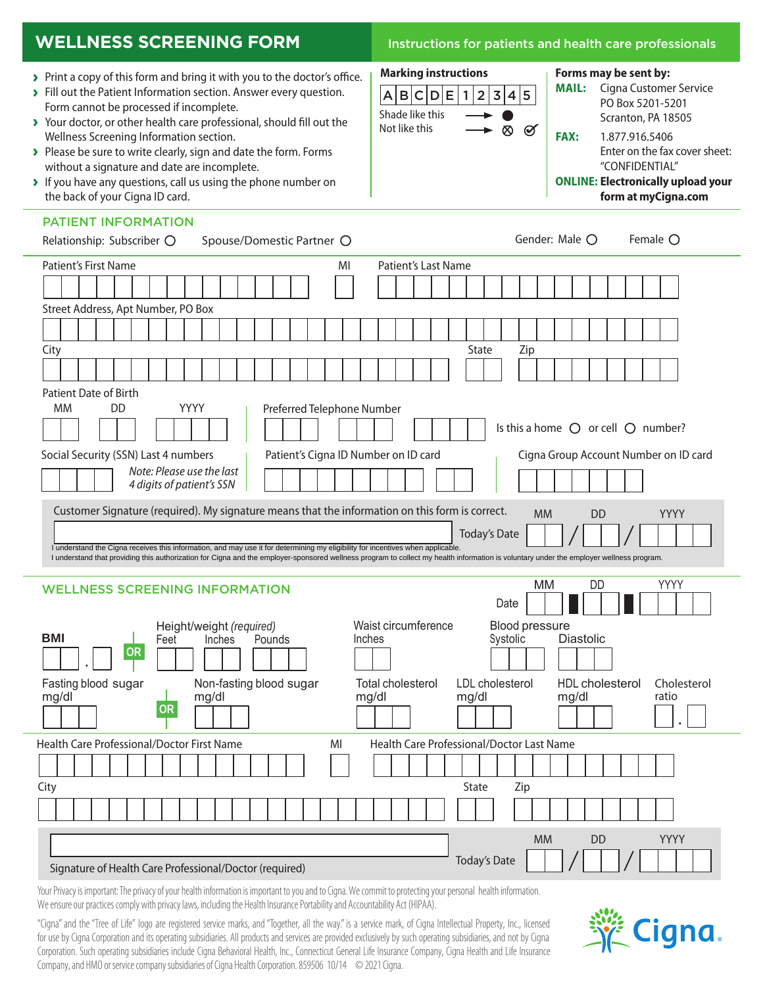## **WELLNESS SCREENING FORM Instructions for patients and health care professionals**

**Forms may be sent by:** 

**FAX:** 1.877.916.5406

**MAIL:** Cigna Customer Service PO Box 5201-5201 Scranton, PA 18505

"CONFIDENTIAL" **ONLINE: Electronically upload your form at myCigna.com**

Enter on the fax cover sheet:

 $|A|B|C|D|E|1|2|3|4|5$ 

**Marking instructions**

Not like this  $\longrightarrow \otimes \otimes$ 

Shade like this

- **›** Print a copy of this form and bring it with you to the doctor's office.
- **›** Fill out the Patient Information section. Answer every question. Form cannot be processed if incomplete.
- **›** Your doctor, or other health care professional, should fill out the Wellness Screening Information section.
- **›** Please be sure to write clearly, sign and date the form. Forms without a signature and date are incomplete.
- **›** If you have any questions, call us using the phone number on the back of your Cigna ID card.

## PATIENT INFORMATION

| Relationship: Subscriber O<br>Spouse/Domestic Partner O                                                                                                                                 | Gender: Male O<br>Female O                               |
|-----------------------------------------------------------------------------------------------------------------------------------------------------------------------------------------|----------------------------------------------------------|
| <b>Patient's First Name</b><br>Patient's Last Name<br>MI                                                                                                                                |                                                          |
|                                                                                                                                                                                         |                                                          |
| Street Address, Apt Number, PO Box                                                                                                                                                      |                                                          |
|                                                                                                                                                                                         |                                                          |
| City                                                                                                                                                                                    | State<br>Zip                                             |
|                                                                                                                                                                                         |                                                          |
| <b>Patient Date of Birth</b>                                                                                                                                                            |                                                          |
| <b>YYYY</b><br>МM<br>DD<br>Preferred Telephone Number                                                                                                                                   |                                                          |
|                                                                                                                                                                                         | Is this a home $\bigcirc$ or cell $\bigcirc$ number?     |
| Social Security (SSN) Last 4 numbers<br>Patient's Cigna ID Number on ID card                                                                                                            | Cigna Group Account Number on ID card                    |
| Note: Please use the last<br>4 digits of patient's SSN                                                                                                                                  |                                                          |
| Customer Signature (required). My signature means that the information on this form is correct.                                                                                         | YYYY<br><b>MM</b><br><b>DD</b>                           |
|                                                                                                                                                                                         | <b>Today's Date</b>                                      |
| I understand the Cigna receives this information, and may use it for determining my eligibility for incentives when applicable.                                                         |                                                          |
|                                                                                                                                                                                         |                                                          |
| I understand that providing this authorization for Cigna and the employer-sponsored wellness program to collect my health information is voluntary under the employer wellness program. |                                                          |
| <b>WELLNESS SCREENING INFORMATION</b>                                                                                                                                                   | YYYY<br>МM<br>DD                                         |
|                                                                                                                                                                                         | Date                                                     |
| Waist circumference<br>Height/weight (required)                                                                                                                                         | Blood pressure                                           |
| <b>BMI</b><br>Inches<br>Inches<br>Pounds<br>Feet                                                                                                                                        | Systolic<br><b>Diastolic</b>                             |
| OR                                                                                                                                                                                      |                                                          |
| Fasting blood sugar<br>Non-fasting blood sugar<br><b>Total cholesterol</b>                                                                                                              | Cholesterol<br>LDL cholesterol<br><b>HDL</b> cholesterol |
| mg/dl<br>mg/dl<br>mg/dl                                                                                                                                                                 | mg/dl<br>mg/dl<br>ratio                                  |
| <b>OR</b>                                                                                                                                                                               |                                                          |
| Health Care Professional/Doctor First Name<br>MI                                                                                                                                        | Health Care Professional/Doctor Last Name                |
|                                                                                                                                                                                         |                                                          |
| City                                                                                                                                                                                    | State<br>Zip                                             |
|                                                                                                                                                                                         |                                                          |
|                                                                                                                                                                                         |                                                          |
| Signature of Health Care Professional/Doctor (required)                                                                                                                                 | <b>YYYY</b><br><b>MM</b><br>DD<br><b>Today's Date</b>    |

Your Privacy is important: The privacy of your health information is important to you and to Cigna. We commit to protecting your personal health information. We ensure our practices comply with privacy laws, including the Health Insurance Portability and Accountability Act (HIPAA).

"Cigna" and the"Tree of Life" logo are registered service marks, and"Together, all the way." is a service mark, of Cigna Intellectual Property, Inc., licensed for use by Cigna Corporation and its operating subsidiaries. All products and services are provided exclusively by such operating subsidiaries, and not by Cigna Corporation. Such operating subsidiaries include Cigna Behavioral Health, Inc., Connecticut General Life Insurance Company, Cigna Health and Life Insurance Company, and HMO or service company subsidiaries of Cigna Health Corporation. 859506 10/14 © 2021 Cigna.